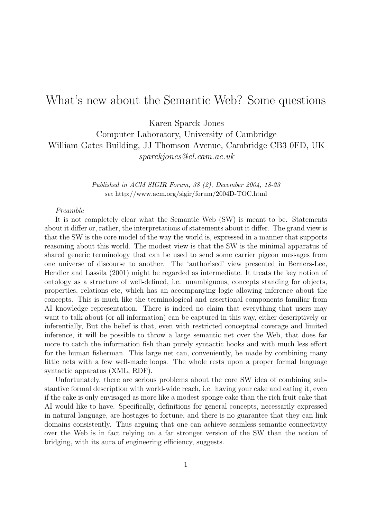# What's new about the Semantic Web? Some questions

Karen Sparck Jones

Computer Laboratory, University of Cambridge William Gates Building, JJ Thomson Avenue, Cambridge CB3 0FD, UK sparckjones@cl.cam.ac.uk

> Published in ACM SIGIR Forum, 38 (2), December 2004, 18-23 see http://www.acm.org/sigir/forum/2004D-TOC.html

## Preamble

It is not completely clear what the Semantic Web (SW) is meant to be. Statements about it differ or, rather, the interpretations of statements about it differ. The grand view is that the SW is the core model of the way the world is, expressed in a manner that supports reasoning about this world. The modest view is that the SW is the minimal apparatus of shared generic terminology that can be used to send some carrier pigeon messages from one universe of discourse to another. The 'authorised' view presented in Berners-Lee, Hendler and Lassila (2001) might be regarded as intermediate. It treats the key notion of ontology as a structure of well-defined, i.e. unambiguous, concepts standing for objects, properties, relations etc, which has an accompanying logic allowing inference about the concepts. This is much like the terminological and assertional components familiar from AI knowledge representation. There is indeed no claim that everything that users may want to talk about (or all information) can be captured in this way, either descriptively or inferentially, But the belief is that, even with restricted conceptual coverage and limited inference, it will be possible to throw a large semantic net over the Web, that does far more to catch the information fish than purely syntactic hooks and with much less effort for the human fisherman. This large net can, conveniently, be made by combining many little nets with a few well-made loops. The whole rests upon a proper formal language syntactic apparatus (XML, RDF).

Unfortunately, there are serious problems about the core SW idea of combining substantive formal description with world-wide reach, i.e. having your cake and eating it, even if the cake is only envisaged as more like a modest sponge cake than the rich fruit cake that AI would like to have. Specifically, definitions for general concepts, necessarily expressed in natural language, are hostages to fortune, and there is no guarantee that they can link domains consistently. Thus arguing that one can achieve seamless semantic connectivity over the Web is in fact relying on a far stronger version of the SW than the notion of bridging, with its aura of engineering efficiency, suggests.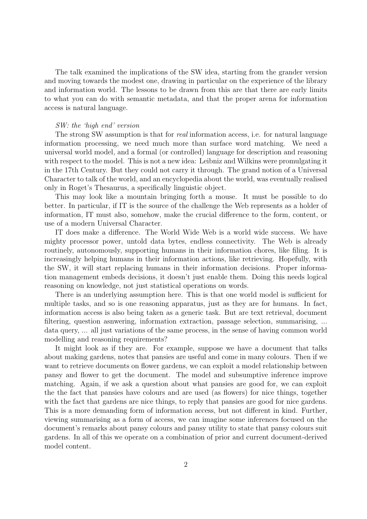The talk examined the implications of the SW idea, starting from the grander version and moving towards the modest one, drawing in particular on the experience of the library and information world. The lessons to be drawn from this are that there are early limits to what you can do with semantic metadata, and that the proper arena for information access is natural language.

## SW: the 'high end' version

The strong SW assumption is that for *real* information access, i.e. for natural language information processing, we need much more than surface word matching. We need a universal world model, and a formal (or controlled) language for description and reasoning with respect to the model. This is not a new idea: Leibniz and Wilkins were promulgating it in the 17th Century. But they could not carry it through. The grand notion of a Universal Character to talk of the world, and an encyclopedia about the world, was eventually realised only in Roget's Thesaurus, a specifically linguistic object.

This may look like a mountain bringing forth a mouse. It must be possible to do better. In particular, if IT is the source of the challenge the Web represents as a holder of information, IT must also, somehow, make the crucial difference to the form, content, or use of a modern Universal Character.

IT does make a difference. The World Wide Web is a world wide success. We have mighty processor power, untold data bytes, endless connectivity. The Web is already routinely, autonomously, supporting humans in their information chores, like filing. It is increasingly helping humans in their information actions, like retrieving. Hopefully, with the SW, it will start replacing humans in their information decisions. Proper information management embeds decisions, it doesn't just enable them. Doing this needs logical reasoning on knowledge, not just statistical operations on words.

There is an underlying assumption here. This is that one world model is sufficient for multiple tasks, and so is one reasoning apparatus, just as they are for humans. In fact, information access is also being taken as a generic task. But are text retrieval, document filtering, question asnwering, information extraction, passage selection, summarising, ... data query, ... all just variations of the same process, in the sense of having common world modelling and reasoning requirements?

It might look as if they are. For example, suppose we have a document that talks about making gardens, notes that pansies are useful and come in many colours. Then if we want to retrieve documents on flower gardens, we can exploit a model relationship between pansy and flower to get the document. The model and subsumptive inference improve matching. Again, if we ask a question about what pansies are good for, we can exploit the the fact that pansies have colours and are used (as flowers) for nice things, together with the fact that gardens are nice things, to reply that pansies are good for nice gardens. This is a more demanding form of information access, but not different in kind. Further, viewing summarising as a form of access, we can imagine some inferences focused on the document's remarks about pansy colours and pansy utility to state that pansy colours suit gardens. In all of this we operate on a combination of prior and current document-derived model content.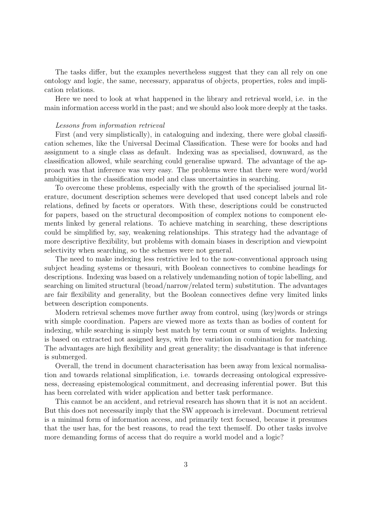The tasks differ, but the examples nevertheless suggest that they can all rely on one ontology and logic, the same, necessary, apparatus of objects, properties, roles and implication relations.

Here we need to look at what happened in the library and retrieval world, i.e. in the main information access world in the past; and we should also look more deeply at the tasks.

## Lessons from information retrieval

First (and very simplistically), in cataloguing and indexing, there were global classification schemes, like the Universal Decimal Classification. These were for books and had assignment to a single class as default. Indexing was as specialised, downward, as the classification allowed, while searching could generalise upward. The advantage of the approach was that inference was very easy. The problems were that there were word/world ambiguities in the classification model and class uncertainties in searching.

To overcome these problems, especially with the growth of the specialised journal literature, document description schemes were developed that used concept labels and role relations, defined by facets or operators. With these, descriptions could be constructed for papers, based on the structural decomposition of complex notions to component elements linked by general relations. To achieve matching in searching, these descriptions could be simplified by, say, weakening relationships. This strategy had the advantage of more descriptive flexibility, but problems with domain biases in description and viewpoint selectivity when searching, so the schemes were not general.

The need to make indexing less restrictive led to the now-conventional approach using subject heading systems or thesauri, with Boolean connectives to combine headings for descriptions. Indexing was based on a relatively undemanding notion of topic labelling, and searching on limited structural (broad/narrow/related term) substitution. The advantages are fair flexibility and generality, but the Boolean connectives define very limited links between description components.

Modern retrieval schemes move further away from control, using (key)words or strings with simple coordination. Papers are viewed more as texts than as bodies of content for indexing, while searching is simply best match by term count or sum of weights. Indexing is based on extracted not assigned keys, with free variation in combination for matching. The advantages are high flexibility and great generality; the disadvantage is that inference is submerged.

Overall, the trend in document characterisation has been away from lexical normalisation and towards relational simplification, i.e. towards decreasing ontological expressiveness, decreasing epistemological commitment, and decreasing inferential power. But this has been correlated with wider application and better task performance.

This cannot be an accident, and retrieval research has shown that it is not an accident. But this does not necessarily imply that the SW approach is irrelevant. Document retrieval is a minimal form of information access, and primarily text focused, because it presumes that the user has, for the best reasons, to read the text themself. Do other tasks involve more demanding forms of access that do require a world model and a logic?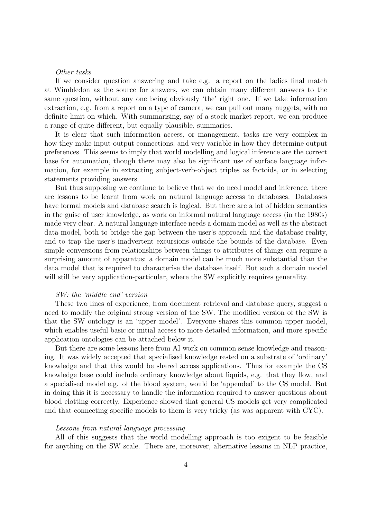## Other tasks

If we consider question answering and take e.g. a report on the ladies final match at Wimbledon as the source for answers, we can obtain many different answers to the same question, without any one being obviously 'the' right one. If we take information extraction, e.g. from a report on a type of camera, we can pull out many nuggets, with no definite limit on which. With summarising, say of a stock market report, we can produce a range of quite different, but equally plausible, summaries.

It is clear that such information access, or management, tasks are very complex in how they make input-output connections, and very variable in how they determine output preferences. This seems to imply that world modelling and logical inference are the correct base for automation, though there may also be significant use of surface language information, for example in extracting subject-verb-object triples as factoids, or in selecting statements providing answers.

But thus supposing we continue to believe that we do need model and inference, there are lessons to be learnt from work on natural language access to databases. Databases have formal models and database search is logical. But there are a lot of hidden semantics in the guise of user knowledge, as work on informal natural language access (in the 1980s) made very clear. A natural language interface needs a domain model as well as the abstract data model, both to bridge the gap between the user's approach and the database reality, and to trap the user's inadvertent excursions outside the bounds of the database. Even simple conversions from relationships between things to attributes of things can require a surprising amount of apparatus: a domain model can be much more substantial than the data model that is required to characterise the database itself. But such a domain model will still be very application-particular, where the SW explicitly requires generality.

## SW: the 'middle end' version

These two lines of experience, from document retrieval and database query, suggest a need to modify the original strong version of the SW. The modified version of the SW is that the SW ontology is an 'upper model'. Everyone shares this common upper model, which enables useful basic or initial access to more detailed information, and more specific application ontologies can be attached below it.

But there are some lessons here from AI work on common sense knowledge and reasoning. It was widely accepted that specialised knowledge rested on a substrate of 'ordinary' knowledge and that this would be shared across applications. Thus for example the CS knowledge base could include ordinary knowledge about liquids, e.g. that they flow, and a specialised model e.g. of the blood system, would be 'appended' to the CS model. But in doing this it is necessary to handle the information required to answer questions about blood clotting correctly. Experience showed that general CS models get very complicated and that connecting specific models to them is very tricky (as was apparent with CYC).

## Lessons from natural language processing

All of this suggests that the world modelling approach is too exigent to be feasible for anything on the SW scale. There are, moreover, alternative lessons in NLP practice,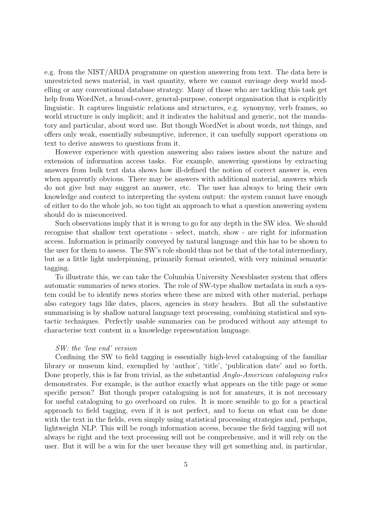e.g. from the NIST/ARDA programme on question answering from text. The data here is unrestricted news material, in vast quantity, where we cannot envisage deep world modelling or any conventional database strategy. Many of those who are tackling this task get help from WordNet, a broad-cover, general-purpose, concept organisation that is explicitly linguistic. It captures linguistic relations and structures, e.g. synonymy, verb frames, so world structure is only implicit; and it indicates the habitual and generic, not the mandatory and particular, about word use. But though WordNet is about words, not things, and offers only weak, essentially subsumptive, inference, it can usefully support operations on text to derive answers to questions from it.

However experience with question answering also raises issues about the nature and extension of information access tasks. For example, answering questions by extracting answers from bulk text data shows how ill-defined the notion of correct answer is, even when apparently obvious. There may be answers with additional material, answers which do not give but may suggest an answer, etc. The user has always to bring their own knowledge and context to interpreting the system output: the system cannot have enough of either to do the whole job, so too tight an approach to what a question answering system should do is misconceived.

Such observations imply that it is wrong to go for any depth in the SW idea. We should recognise that shallow text operations - select, match, show - are right for information access. Information is primarily conveyed by natural language and this has to be shown to the user for them to assess. The SW's role should thus not be that of the total intermediary, but as a little light underpinning, primarily format oriented, with very minimal semantic tagging.

To illustrate this, we can take the Columbia University Newsblaster system that offers automatic summaries of news stories. The role of SW-type shallow metadata in such a system could be to identify news stories where these are mixed with other material, perhaps also category tags like dates, places, agencies in story headers. But all the substantive summarising is by shallow natural language text processing, combining statistical and syntactic techniques. Perfectly usable summaries can be produced without any attempt to characterise text content in a knowledge representation language.

## SW: the 'low end' version

Confining the SW to field tagging is essentially high-level cataloguing of the familiar library or museum kind, exemplied by 'author', 'title', 'publication date' and so forth. Done properly, this is far from trivial, as the substantial Anglo-American cataloguing rules demonstrates. For example, is the author exactly what appears on the title page or some specific person? But though proper cataloguing is not for amateurs, it is not necessary for useful cataloguing to go overboard on rules. It is more sensible to go for a practical approach to field tagging, even if it is not perfect, and to focus on what can be done with the text in the fields, even simply using statistical processing strategies and, perhaps, lightweight NLP. This will be rough information access, because the field tagging will not always be right and the text processing will not be comprehensive, and it will rely on the user. But it will be a win for the user because they will get something and, in particular,